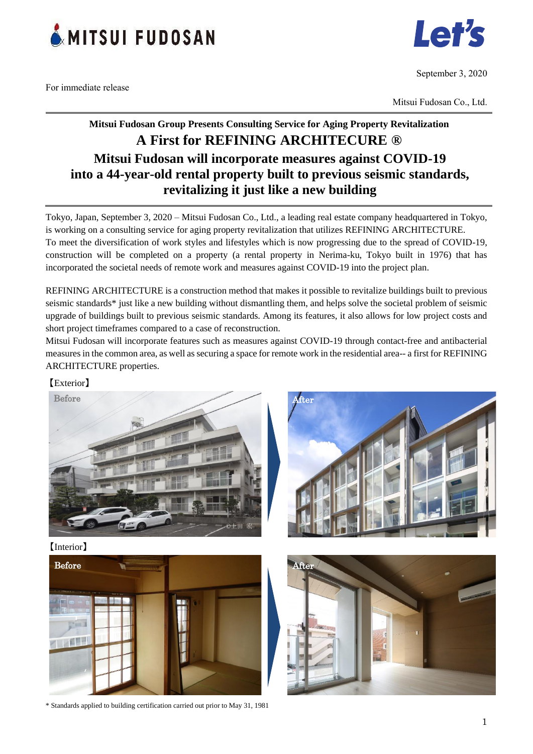

For immediate release



September 3, 2020

Mitsui Fudosan Co., Ltd.

# **Mitsui Fudosan Group Presents Consulting Service for Aging Property Revitalization A First for REFINING ARCHITECURE ® Mitsui Fudosan will incorporate measures against COVID-19 into a 44-year-old rental property built to previous seismic standards, revitalizing it just like a new building**

Tokyo, Japan, September 3, 2020 – Mitsui Fudosan Co., Ltd., a leading real estate company headquartered in Tokyo, is working on a consulting service for aging property revitalization that utilizes REFINING ARCHITECTURE. To meet the diversification of work styles and lifestyles which is now progressing due to the spread of COVID-19, construction will be completed on a property (a rental property in Nerima-ku, Tokyo built in 1976) that has incorporated the societal needs of remote work and measures against COVID-19 into the project plan.

REFINING ARCHITECTURE is a construction method that makes it possible to revitalize buildings built to previous seismic standards\* just like a new building without dismantling them, and helps solve the societal problem of seismic upgrade of buildings built to previous seismic standards. Among its features, it also allows for low project costs and short project timeframes compared to a case of reconstruction.

Mitsui Fudosan will incorporate features such as measures against COVID-19 through contact-free and antibacterial measures in the common area, as well as securing a space for remote work in the residential area-- a first for REFINING ARCHITECTURE properties.

## 【Exterior】



After

【Interior】





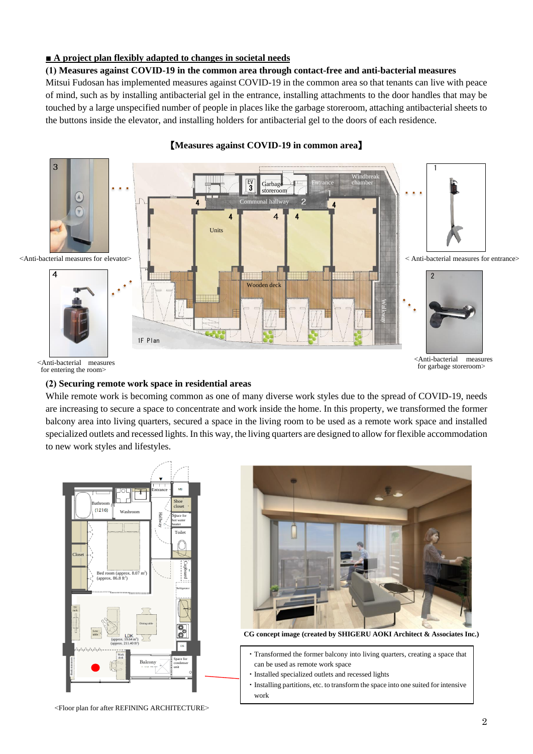## **■ A project plan flexibly adapted to changes in societal needs**

#### **(1) Measures against COVID-19 in the common area through contact-free and anti-bacterial measures**

Mitsui Fudosan has implemented measures against COVID-19 in the common area so that tenants can live with peace of mind, such as by installing antibacterial gel in the entrance, installing attachments to the door handles that may be touched by a large unspecified number of people in places like the garbage storeroom, attaching antibacterial sheets to the buttons inside the elevator, and installing holders for antibacterial gel to the doors of each residence.



#### 【**Measures against COVID-19 in common area**】

#### **(2) Securing remote work space in residential areas**

While remote work is becoming common as one of many diverse work styles due to the spread of COVID-19, needs are increasing to secure a space to concentrate and work inside the home. In this property, we transformed the former balcony area into living quarters, secured a space in the living room to be used as a remote work space and installed specialized outlets and recessed lights. In this way, the living quarters are designed to allow for flexible accommodation to new work styles and lifestyles.



<Floor plan for after REFINING ARCHITECTURE>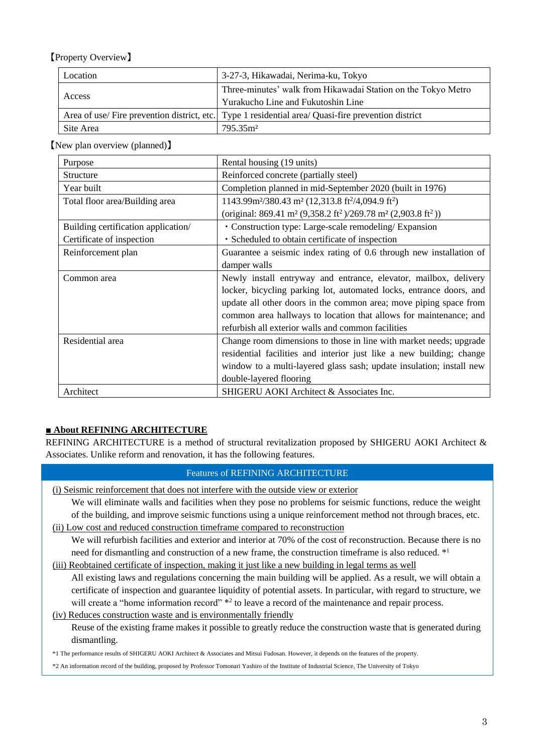# 【Property Overview】

| Location  | 3-27-3, Hikawadai, Nerima-ku, Tokyo                                                                 |
|-----------|-----------------------------------------------------------------------------------------------------|
| Access    | Three-minutes' walk from Hikawadai Station on the Tokyo Metro                                       |
|           | Yurakucho Line and Fukutoshin Line                                                                  |
|           | Area of use/ Fire prevention district, etc. Type 1 residential area/ Quasi-fire prevention district |
| Site Area | 795.35m <sup>2</sup>                                                                                |

### 【New plan overview (planned)】

| Purpose                             | Rental housing (19 units)                                                                                     |
|-------------------------------------|---------------------------------------------------------------------------------------------------------------|
| <b>Structure</b>                    | Reinforced concrete (partially steel)                                                                         |
| Year built                          | Completion planned in mid-September 2020 (built in 1976)                                                      |
| Total floor area/Building area      | 1143.99m <sup>2</sup> /380.43 m <sup>2</sup> (12,313.8 ft <sup>2</sup> /4,094.9 ft <sup>2</sup> )             |
|                                     | (original: 869.41 m <sup>2</sup> (9,358.2 ft <sup>2</sup> )/269.78 m <sup>2</sup> (2,903.8 ft <sup>2</sup> )) |
| Building certification application/ | • Construction type: Large-scale remodeling/ Expansion                                                        |
| Certificate of inspection           | • Scheduled to obtain certificate of inspection                                                               |
| Reinforcement plan                  | Guarantee a seismic index rating of 0.6 through new installation of                                           |
|                                     | damper walls                                                                                                  |
| Common area                         | Newly install entryway and entrance, elevator, mailbox, delivery                                              |
|                                     | locker, bicycling parking lot, automated locks, entrance doors, and                                           |
|                                     | update all other doors in the common area; move piping space from                                             |
|                                     | common area hallways to location that allows for maintenance; and                                             |
|                                     | refurbish all exterior walls and common facilities                                                            |
| Residential area                    | Change room dimensions to those in line with market needs; upgrade                                            |
|                                     | residential facilities and interior just like a new building; change                                          |
|                                     | window to a multi-layered glass sash; update insulation; install new                                          |
|                                     | double-layered flooring                                                                                       |
| Architect                           | SHIGERU AOKI Architect & Associates Inc.                                                                      |

## **■ About REFINING ARCHITECTURE**

ī

REFINING ARCHITECTURE is a method of structural revitalization proposed by SHIGERU AOKI Architect & Associates. Unlike reform and renovation, it has the following features.

#### Features of REFINING ARCHITECTURE

(i) Seismic reinforcement that does not interfere with the outside view or exterior

We will eliminate walls and facilities when they pose no problems for seismic functions, reduce the weight of the building, and improve seismic functions using a unique reinforcement method not through braces, etc.

(ii) Low cost and reduced construction timeframe compared to reconstruction

We will refurbish facilities and exterior and interior at 70% of the cost of reconstruction. Because there is no need for dismantling and construction of a new frame, the construction timeframe is also reduced. \*1

(iii) Reobtained certificate of inspection, making it just like a new building in legal terms as well

All existing laws and regulations concerning the main building will be applied. As a result, we will obtain a certificate of inspection and guarantee liquidity of potential assets. In particular, with regard to structure, we will create a "home information record" \*2 to leave a record of the maintenance and repair process.

(iv) Reduces construction waste and is environmentally friendly Reuse of the existing frame makes it possible to greatly reduce the construction waste that is generated during dismantling.

\*1 The performance results of SHIGERU AOKI Architect & Associates and Mitsui Fudosan. However, it depends on the features of the property.

\*2 An information record of the building, proposed by Professor Tomonari Yashiro of the Institute of Industrial Science, The University of Tokyo